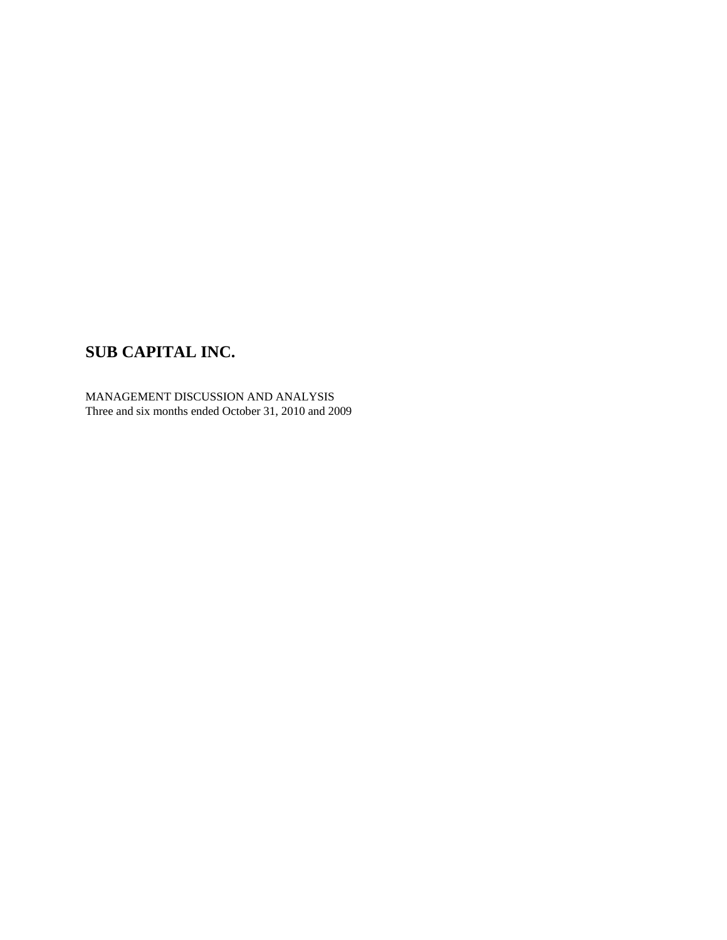MANAGEMENT DISCUSSION AND ANALYSIS Three and six months ended October 31, 2010 and 2009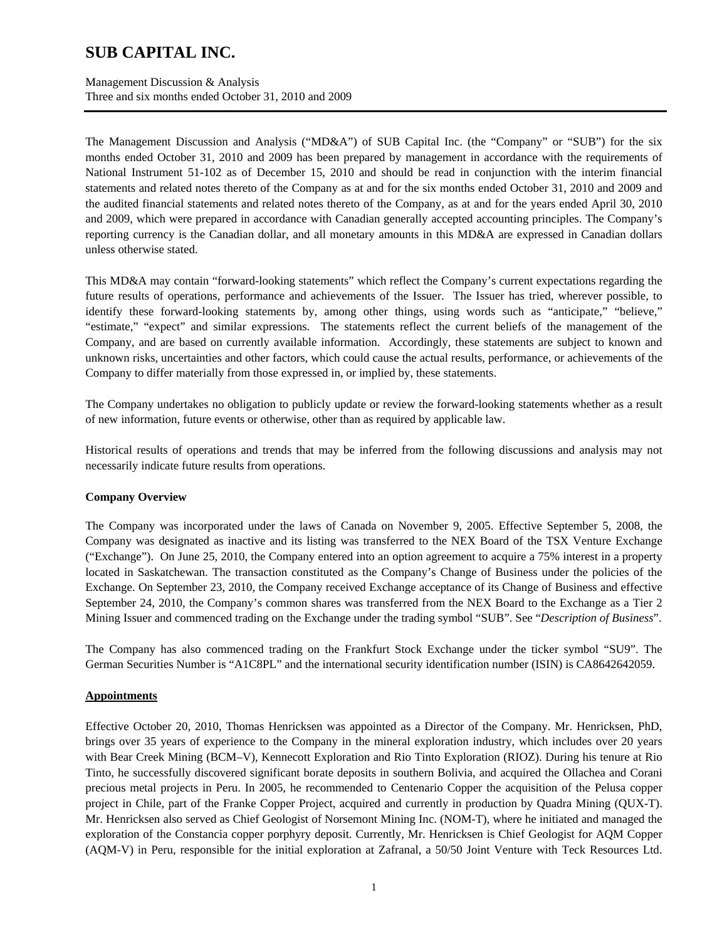Management Discussion & Analysis Three and six months ended October 31, 2010 and 2009

The Management Discussion and Analysis ("MD&A") of SUB Capital Inc. (the "Company" or "SUB") for the six months ended October 31, 2010 and 2009 has been prepared by management in accordance with the requirements of National Instrument 51-102 as of December 15, 2010 and should be read in conjunction with the interim financial statements and related notes thereto of the Company as at and for the six months ended October 31, 2010 and 2009 and the audited financial statements and related notes thereto of the Company, as at and for the years ended April 30, 2010 and 2009, which were prepared in accordance with Canadian generally accepted accounting principles. The Company's reporting currency is the Canadian dollar, and all monetary amounts in this MD&A are expressed in Canadian dollars unless otherwise stated.

This MD&A may contain "forward-looking statements" which reflect the Company's current expectations regarding the future results of operations, performance and achievements of the Issuer. The Issuer has tried, wherever possible, to identify these forward-looking statements by, among other things, using words such as "anticipate," "believe," "estimate," "expect" and similar expressions. The statements reflect the current beliefs of the management of the Company, and are based on currently available information. Accordingly, these statements are subject to known and unknown risks, uncertainties and other factors, which could cause the actual results, performance, or achievements of the Company to differ materially from those expressed in, or implied by, these statements.

The Company undertakes no obligation to publicly update or review the forward-looking statements whether as a result of new information, future events or otherwise, other than as required by applicable law.

Historical results of operations and trends that may be inferred from the following discussions and analysis may not necessarily indicate future results from operations.

### **Company Overview**

The Company was incorporated under the laws of Canada on November 9, 2005. Effective September 5, 2008, the Company was designated as inactive and its listing was transferred to the NEX Board of the TSX Venture Exchange ("Exchange"). On June 25, 2010, the Company entered into an option agreement to acquire a 75% interest in a property located in Saskatchewan. The transaction constituted as the Company's Change of Business under the policies of the Exchange. On September 23, 2010, the Company received Exchange acceptance of its Change of Business and effective September 24, 2010, the Company's common shares was transferred from the NEX Board to the Exchange as a Tier 2 Mining Issuer and commenced trading on the Exchange under the trading symbol "SUB". See "*Description of Business*".

The Company has also commenced trading on the Frankfurt Stock Exchange under the ticker symbol "SU9". The German Securities Number is "A1C8PL" and the international security identification number (ISIN) is CA8642642059.

### **Appointments**

Effective October 20, 2010, Thomas Henricksen was appointed as a Director of the Company. Mr. Henricksen, PhD, brings over 35 years of experience to the Company in the mineral exploration industry, which includes over 20 years with Bear Creek Mining (BCM–V), Kennecott Exploration and Rio Tinto Exploration (RIOZ). During his tenure at Rio Tinto, he successfully discovered significant borate deposits in southern Bolivia, and acquired the Ollachea and Corani precious metal projects in Peru. In 2005, he recommended to Centenario Copper the acquisition of the Pelusa copper project in Chile, part of the Franke Copper Project, acquired and currently in production by Quadra Mining (QUX-T). Mr. Henricksen also served as Chief Geologist of Norsemont Mining Inc. (NOM-T), where he initiated and managed the exploration of the Constancia copper porphyry deposit. Currently, Mr. Henricksen is Chief Geologist for AQM Copper (AQM-V) in Peru, responsible for the initial exploration at Zafranal, a 50/50 Joint Venture with Teck Resources Ltd.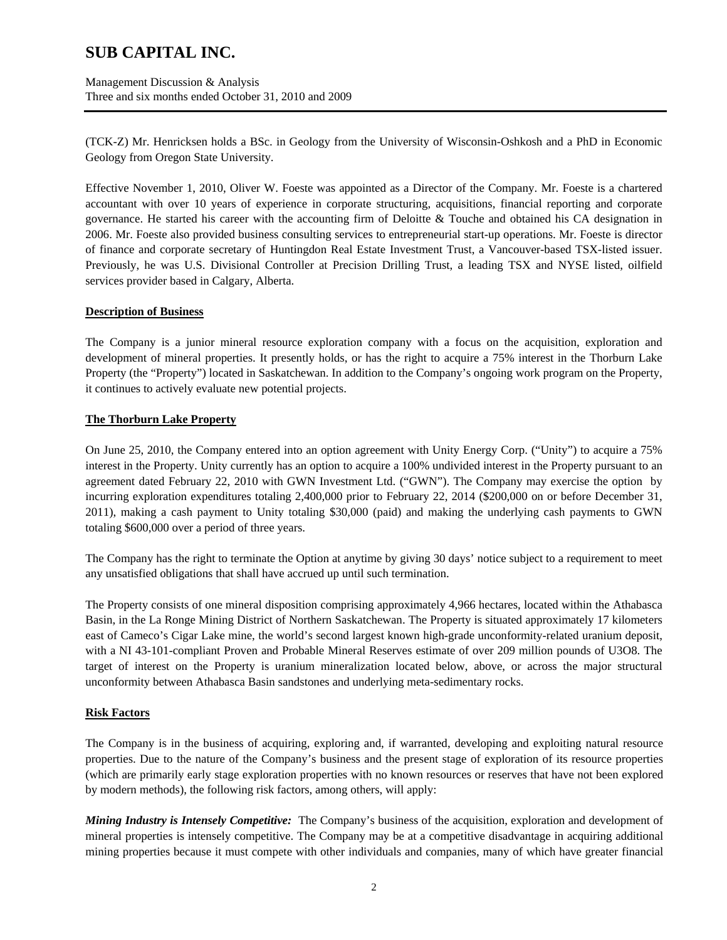Management Discussion & Analysis Three and six months ended October 31, 2010 and 2009

(TCK-Z) Mr. Henricksen holds a BSc. in Geology from the University of Wisconsin-Oshkosh and a PhD in Economic Geology from Oregon State University.

Effective November 1, 2010, Oliver W. Foeste was appointed as a Director of the Company. Mr. Foeste is a chartered accountant with over 10 years of experience in corporate structuring, acquisitions, financial reporting and corporate governance. He started his career with the accounting firm of Deloitte & Touche and obtained his CA designation in 2006. Mr. Foeste also provided business consulting services to entrepreneurial start-up operations. Mr. Foeste is director of finance and corporate secretary of Huntingdon Real Estate Investment Trust, a Vancouver-based TSX-listed issuer. Previously, he was U.S. Divisional Controller at Precision Drilling Trust, a leading TSX and NYSE listed, oilfield services provider based in Calgary, Alberta.

### **Description of Business**

The Company is a junior mineral resource exploration company with a focus on the acquisition, exploration and development of mineral properties. It presently holds, or has the right to acquire a 75% interest in the Thorburn Lake Property (the "Property") located in Saskatchewan. In addition to the Company's ongoing work program on the Property, it continues to actively evaluate new potential projects.

### **The Thorburn Lake Property**

On June 25, 2010, the Company entered into an option agreement with Unity Energy Corp. ("Unity") to acquire a 75% interest in the Property. Unity currently has an option to acquire a 100% undivided interest in the Property pursuant to an agreement dated February 22, 2010 with GWN Investment Ltd. ("GWN"). The Company may exercise the option by incurring exploration expenditures totaling 2,400,000 prior to February 22, 2014 (\$200,000 on or before December 31, 2011), making a cash payment to Unity totaling \$30,000 (paid) and making the underlying cash payments to GWN totaling \$600,000 over a period of three years.

The Company has the right to terminate the Option at anytime by giving 30 days' notice subject to a requirement to meet any unsatisfied obligations that shall have accrued up until such termination.

The Property consists of one mineral disposition comprising approximately 4,966 hectares, located within the Athabasca Basin, in the La Ronge Mining District of Northern Saskatchewan. The Property is situated approximately 17 kilometers east of Cameco's Cigar Lake mine, the world's second largest known high-grade unconformity-related uranium deposit, with a NI 43-101-compliant Proven and Probable Mineral Reserves estimate of over 209 million pounds of U3O8. The target of interest on the Property is uranium mineralization located below, above, or across the major structural unconformity between Athabasca Basin sandstones and underlying meta-sedimentary rocks.

### **Risk Factors**

The Company is in the business of acquiring, exploring and, if warranted, developing and exploiting natural resource properties. Due to the nature of the Company's business and the present stage of exploration of its resource properties (which are primarily early stage exploration properties with no known resources or reserves that have not been explored by modern methods), the following risk factors, among others, will apply:

*Mining Industry is Intensely Competitive:* The Company's business of the acquisition, exploration and development of mineral properties is intensely competitive. The Company may be at a competitive disadvantage in acquiring additional mining properties because it must compete with other individuals and companies, many of which have greater financial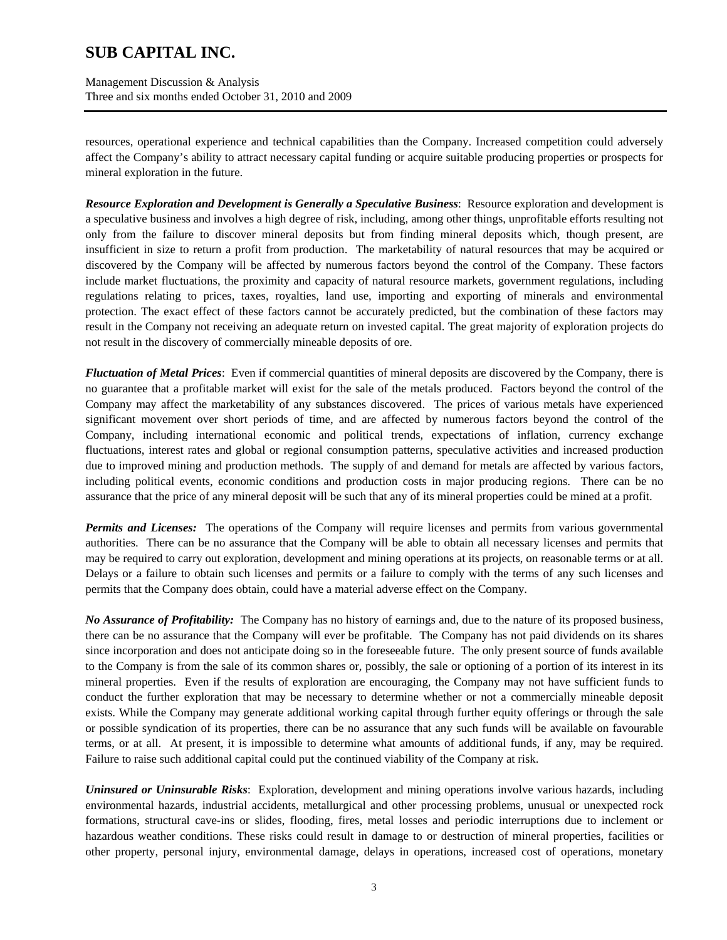Management Discussion & Analysis Three and six months ended October 31, 2010 and 2009

resources, operational experience and technical capabilities than the Company. Increased competition could adversely affect the Company's ability to attract necessary capital funding or acquire suitable producing properties or prospects for mineral exploration in the future.

*Resource Exploration and Development is Generally a Speculative Business*: Resource exploration and development is a speculative business and involves a high degree of risk, including, among other things, unprofitable efforts resulting not only from the failure to discover mineral deposits but from finding mineral deposits which, though present, are insufficient in size to return a profit from production. The marketability of natural resources that may be acquired or discovered by the Company will be affected by numerous factors beyond the control of the Company. These factors include market fluctuations, the proximity and capacity of natural resource markets, government regulations, including regulations relating to prices, taxes, royalties, land use, importing and exporting of minerals and environmental protection. The exact effect of these factors cannot be accurately predicted, but the combination of these factors may result in the Company not receiving an adequate return on invested capital. The great majority of exploration projects do not result in the discovery of commercially mineable deposits of ore.

*Fluctuation of Metal Prices*: Even if commercial quantities of mineral deposits are discovered by the Company, there is no guarantee that a profitable market will exist for the sale of the metals produced. Factors beyond the control of the Company may affect the marketability of any substances discovered. The prices of various metals have experienced significant movement over short periods of time, and are affected by numerous factors beyond the control of the Company, including international economic and political trends, expectations of inflation, currency exchange fluctuations, interest rates and global or regional consumption patterns, speculative activities and increased production due to improved mining and production methods. The supply of and demand for metals are affected by various factors, including political events, economic conditions and production costs in major producing regions. There can be no assurance that the price of any mineral deposit will be such that any of its mineral properties could be mined at a profit.

*Permits and Licenses:* The operations of the Company will require licenses and permits from various governmental authorities. There can be no assurance that the Company will be able to obtain all necessary licenses and permits that may be required to carry out exploration, development and mining operations at its projects, on reasonable terms or at all. Delays or a failure to obtain such licenses and permits or a failure to comply with the terms of any such licenses and permits that the Company does obtain, could have a material adverse effect on the Company.

*No Assurance of Profitability:* The Company has no history of earnings and, due to the nature of its proposed business, there can be no assurance that the Company will ever be profitable. The Company has not paid dividends on its shares since incorporation and does not anticipate doing so in the foreseeable future. The only present source of funds available to the Company is from the sale of its common shares or, possibly, the sale or optioning of a portion of its interest in its mineral properties. Even if the results of exploration are encouraging, the Company may not have sufficient funds to conduct the further exploration that may be necessary to determine whether or not a commercially mineable deposit exists. While the Company may generate additional working capital through further equity offerings or through the sale or possible syndication of its properties, there can be no assurance that any such funds will be available on favourable terms, or at all. At present, it is impossible to determine what amounts of additional funds, if any, may be required. Failure to raise such additional capital could put the continued viability of the Company at risk.

*Uninsured or Uninsurable Risks*: Exploration, development and mining operations involve various hazards, including environmental hazards, industrial accidents, metallurgical and other processing problems, unusual or unexpected rock formations, structural cave-ins or slides, flooding, fires, metal losses and periodic interruptions due to inclement or hazardous weather conditions. These risks could result in damage to or destruction of mineral properties, facilities or other property, personal injury, environmental damage, delays in operations, increased cost of operations, monetary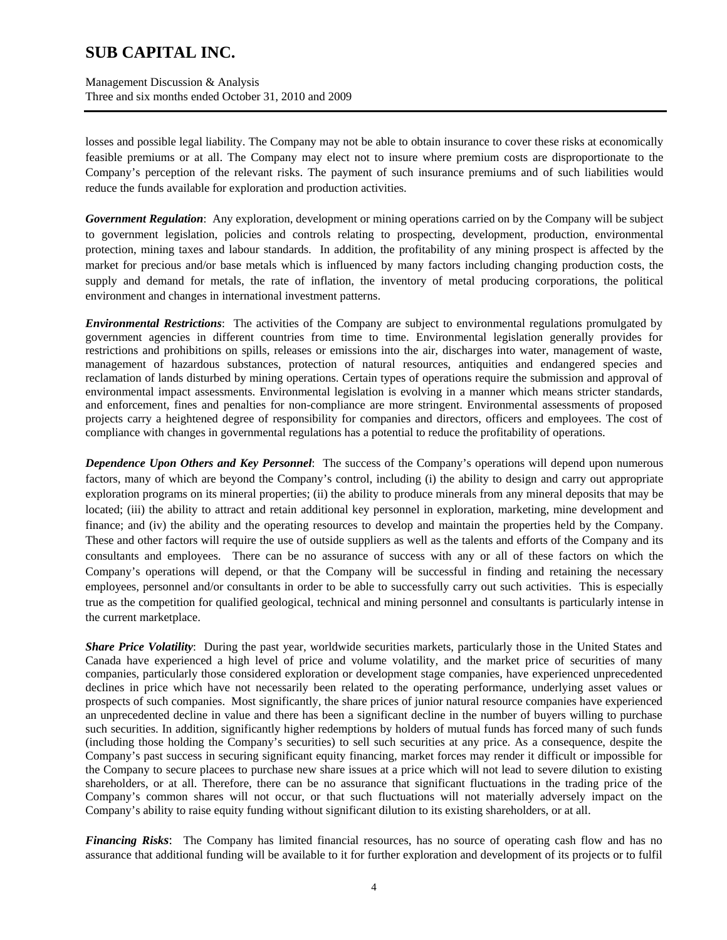Management Discussion & Analysis Three and six months ended October 31, 2010 and 2009

losses and possible legal liability. The Company may not be able to obtain insurance to cover these risks at economically feasible premiums or at all. The Company may elect not to insure where premium costs are disproportionate to the Company's perception of the relevant risks. The payment of such insurance premiums and of such liabilities would reduce the funds available for exploration and production activities.

*Government Regulation*: Any exploration, development or mining operations carried on by the Company will be subject to government legislation, policies and controls relating to prospecting, development, production, environmental protection, mining taxes and labour standards. In addition, the profitability of any mining prospect is affected by the market for precious and/or base metals which is influenced by many factors including changing production costs, the supply and demand for metals, the rate of inflation, the inventory of metal producing corporations, the political environment and changes in international investment patterns.

*Environmental Restrictions*: The activities of the Company are subject to environmental regulations promulgated by government agencies in different countries from time to time. Environmental legislation generally provides for restrictions and prohibitions on spills, releases or emissions into the air, discharges into water, management of waste, management of hazardous substances, protection of natural resources, antiquities and endangered species and reclamation of lands disturbed by mining operations. Certain types of operations require the submission and approval of environmental impact assessments. Environmental legislation is evolving in a manner which means stricter standards, and enforcement, fines and penalties for non-compliance are more stringent. Environmental assessments of proposed projects carry a heightened degree of responsibility for companies and directors, officers and employees. The cost of compliance with changes in governmental regulations has a potential to reduce the profitability of operations.

*Dependence Upon Others and Key Personnel*: The success of the Company's operations will depend upon numerous factors, many of which are beyond the Company's control, including (i) the ability to design and carry out appropriate exploration programs on its mineral properties; (ii) the ability to produce minerals from any mineral deposits that may be located; (iii) the ability to attract and retain additional key personnel in exploration, marketing, mine development and finance; and (iv) the ability and the operating resources to develop and maintain the properties held by the Company. These and other factors will require the use of outside suppliers as well as the talents and efforts of the Company and its consultants and employees. There can be no assurance of success with any or all of these factors on which the Company's operations will depend, or that the Company will be successful in finding and retaining the necessary employees, personnel and/or consultants in order to be able to successfully carry out such activities. This is especially true as the competition for qualified geological, technical and mining personnel and consultants is particularly intense in the current marketplace.

*Share Price Volatility*: During the past year, worldwide securities markets, particularly those in the United States and Canada have experienced a high level of price and volume volatility, and the market price of securities of many companies, particularly those considered exploration or development stage companies, have experienced unprecedented declines in price which have not necessarily been related to the operating performance, underlying asset values or prospects of such companies. Most significantly, the share prices of junior natural resource companies have experienced an unprecedented decline in value and there has been a significant decline in the number of buyers willing to purchase such securities. In addition, significantly higher redemptions by holders of mutual funds has forced many of such funds (including those holding the Company's securities) to sell such securities at any price. As a consequence, despite the Company's past success in securing significant equity financing, market forces may render it difficult or impossible for the Company to secure placees to purchase new share issues at a price which will not lead to severe dilution to existing shareholders, or at all. Therefore, there can be no assurance that significant fluctuations in the trading price of the Company's common shares will not occur, or that such fluctuations will not materially adversely impact on the Company's ability to raise equity funding without significant dilution to its existing shareholders, or at all.

*Financing Risks*: The Company has limited financial resources, has no source of operating cash flow and has no assurance that additional funding will be available to it for further exploration and development of its projects or to fulfil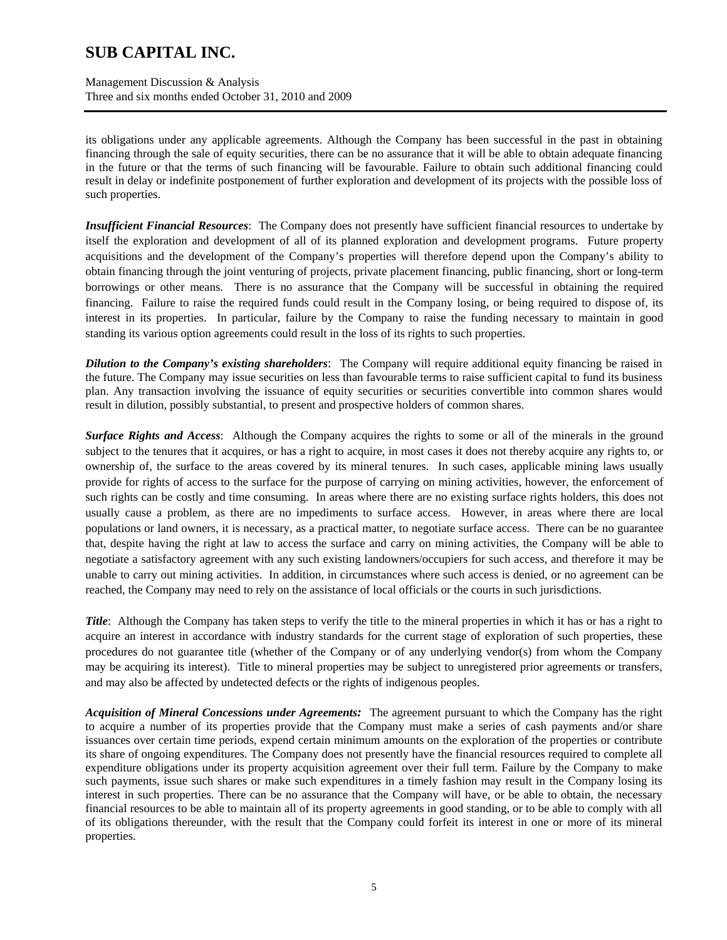Management Discussion & Analysis Three and six months ended October 31, 2010 and 2009

its obligations under any applicable agreements. Although the Company has been successful in the past in obtaining financing through the sale of equity securities, there can be no assurance that it will be able to obtain adequate financing in the future or that the terms of such financing will be favourable. Failure to obtain such additional financing could result in delay or indefinite postponement of further exploration and development of its projects with the possible loss of such properties.

*Insufficient Financial Resources*: The Company does not presently have sufficient financial resources to undertake by itself the exploration and development of all of its planned exploration and development programs. Future property acquisitions and the development of the Company's properties will therefore depend upon the Company's ability to obtain financing through the joint venturing of projects, private placement financing, public financing, short or long-term borrowings or other means. There is no assurance that the Company will be successful in obtaining the required financing. Failure to raise the required funds could result in the Company losing, or being required to dispose of, its interest in its properties. In particular, failure by the Company to raise the funding necessary to maintain in good standing its various option agreements could result in the loss of its rights to such properties.

*Dilution to the Company's existing shareholders*: The Company will require additional equity financing be raised in the future. The Company may issue securities on less than favourable terms to raise sufficient capital to fund its business plan. Any transaction involving the issuance of equity securities or securities convertible into common shares would result in dilution, possibly substantial, to present and prospective holders of common shares.

*Surface Rights and Access*: Although the Company acquires the rights to some or all of the minerals in the ground subject to the tenures that it acquires, or has a right to acquire, in most cases it does not thereby acquire any rights to, or ownership of, the surface to the areas covered by its mineral tenures. In such cases, applicable mining laws usually provide for rights of access to the surface for the purpose of carrying on mining activities, however, the enforcement of such rights can be costly and time consuming. In areas where there are no existing surface rights holders, this does not usually cause a problem, as there are no impediments to surface access. However, in areas where there are local populations or land owners, it is necessary, as a practical matter, to negotiate surface access. There can be no guarantee that, despite having the right at law to access the surface and carry on mining activities, the Company will be able to negotiate a satisfactory agreement with any such existing landowners/occupiers for such access, and therefore it may be unable to carry out mining activities. In addition, in circumstances where such access is denied, or no agreement can be reached, the Company may need to rely on the assistance of local officials or the courts in such jurisdictions.

*Title*: Although the Company has taken steps to verify the title to the mineral properties in which it has or has a right to acquire an interest in accordance with industry standards for the current stage of exploration of such properties, these procedures do not guarantee title (whether of the Company or of any underlying vendor(s) from whom the Company may be acquiring its interest). Title to mineral properties may be subject to unregistered prior agreements or transfers, and may also be affected by undetected defects or the rights of indigenous peoples.

*Acquisition of Mineral Concessions under Agreements:* The agreement pursuant to which the Company has the right to acquire a number of its properties provide that the Company must make a series of cash payments and/or share issuances over certain time periods, expend certain minimum amounts on the exploration of the properties or contribute its share of ongoing expenditures. The Company does not presently have the financial resources required to complete all expenditure obligations under its property acquisition agreement over their full term. Failure by the Company to make such payments, issue such shares or make such expenditures in a timely fashion may result in the Company losing its interest in such properties. There can be no assurance that the Company will have, or be able to obtain, the necessary financial resources to be able to maintain all of its property agreements in good standing, or to be able to comply with all of its obligations thereunder, with the result that the Company could forfeit its interest in one or more of its mineral properties.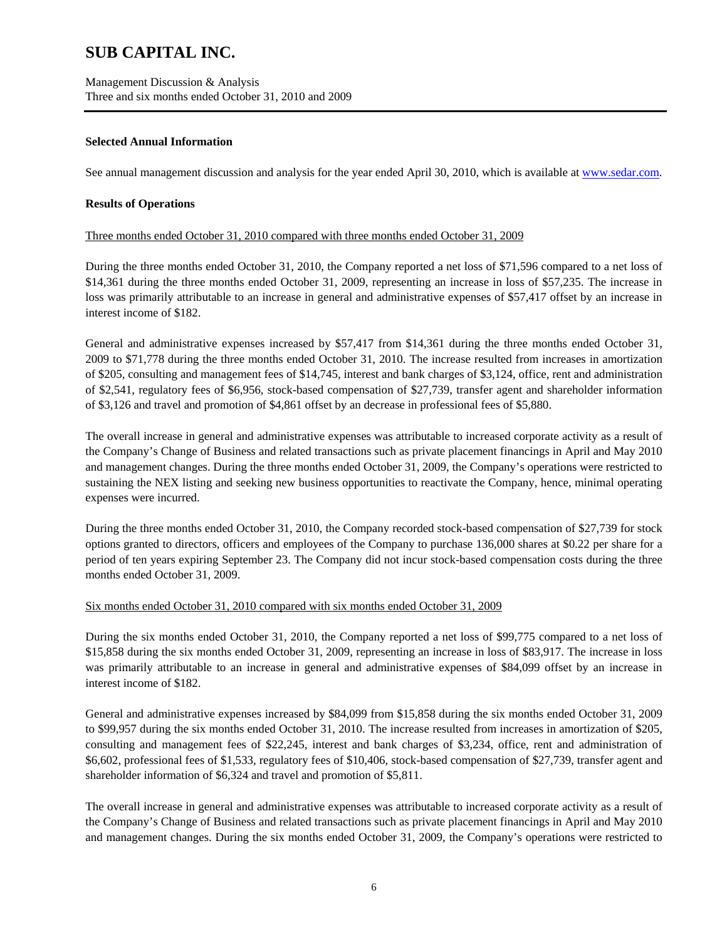Management Discussion & Analysis Three and six months ended October 31, 2010 and 2009

### **Selected Annual Information**

See annual management discussion and analysis for the year ended April 30, 2010, which is available at www.sedar.com.

#### **Results of Operations**

#### Three months ended October 31, 2010 compared with three months ended October 31, 2009

During the three months ended October 31, 2010, the Company reported a net loss of \$71,596 compared to a net loss of \$14,361 during the three months ended October 31, 2009, representing an increase in loss of \$57,235. The increase in loss was primarily attributable to an increase in general and administrative expenses of \$57,417 offset by an increase in interest income of \$182.

General and administrative expenses increased by \$57,417 from \$14,361 during the three months ended October 31, 2009 to \$71,778 during the three months ended October 31, 2010. The increase resulted from increases in amortization of \$205, consulting and management fees of \$14,745, interest and bank charges of \$3,124, office, rent and administration of \$2,541, regulatory fees of \$6,956, stock-based compensation of \$27,739, transfer agent and shareholder information of \$3,126 and travel and promotion of \$4,861 offset by an decrease in professional fees of \$5,880.

The overall increase in general and administrative expenses was attributable to increased corporate activity as a result of the Company's Change of Business and related transactions such as private placement financings in April and May 2010 and management changes. During the three months ended October 31, 2009, the Company's operations were restricted to sustaining the NEX listing and seeking new business opportunities to reactivate the Company, hence, minimal operating expenses were incurred.

During the three months ended October 31, 2010, the Company recorded stock-based compensation of \$27,739 for stock options granted to directors, officers and employees of the Company to purchase 136,000 shares at \$0.22 per share for a period of ten years expiring September 23. The Company did not incur stock-based compensation costs during the three months ended October 31, 2009.

### Six months ended October 31, 2010 compared with six months ended October 31, 2009

During the six months ended October 31, 2010, the Company reported a net loss of \$99,775 compared to a net loss of \$15,858 during the six months ended October 31, 2009, representing an increase in loss of \$83,917. The increase in loss was primarily attributable to an increase in general and administrative expenses of \$84,099 offset by an increase in interest income of \$182.

General and administrative expenses increased by \$84,099 from \$15,858 during the six months ended October 31, 2009 to \$99,957 during the six months ended October 31, 2010. The increase resulted from increases in amortization of \$205, consulting and management fees of \$22,245, interest and bank charges of \$3,234, office, rent and administration of \$6,602, professional fees of \$1,533, regulatory fees of \$10,406, stock-based compensation of \$27,739, transfer agent and shareholder information of \$6,324 and travel and promotion of \$5,811.

The overall increase in general and administrative expenses was attributable to increased corporate activity as a result of the Company's Change of Business and related transactions such as private placement financings in April and May 2010 and management changes. During the six months ended October 31, 2009, the Company's operations were restricted to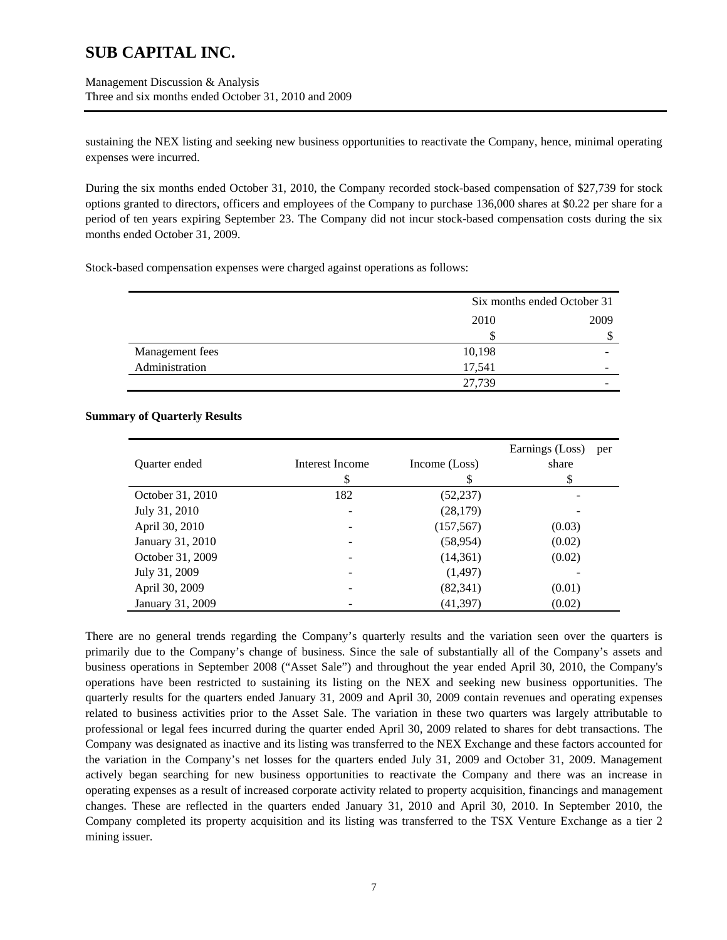Management Discussion & Analysis Three and six months ended October 31, 2010 and 2009

sustaining the NEX listing and seeking new business opportunities to reactivate the Company, hence, minimal operating expenses were incurred.

During the six months ended October 31, 2010, the Company recorded stock-based compensation of \$27,739 for stock options granted to directors, officers and employees of the Company to purchase 136,000 shares at \$0.22 per share for a period of ten years expiring September 23. The Company did not incur stock-based compensation costs during the six months ended October 31, 2009.

Stock-based compensation expenses were charged against operations as follows:

|                 | Six months ended October 31 |      |
|-----------------|-----------------------------|------|
|                 | 2010                        | 2009 |
|                 |                             | \$   |
| Management fees | 10,198                      |      |
| Administration  | 17,541                      |      |
|                 | 27,739                      |      |

#### **Summary of Quarterly Results**

|                  |                 |               | Earnings (Loss) | per |
|------------------|-----------------|---------------|-----------------|-----|
| Quarter ended    | Interest Income | Income (Loss) | share           |     |
|                  | \$              | \$            | \$              |     |
| October 31, 2010 | 182             | (52, 237)     |                 |     |
| July 31, 2010    |                 | (28, 179)     |                 |     |
| April 30, 2010   |                 | (157, 567)    | (0.03)          |     |
| January 31, 2010 |                 | (58, 954)     | (0.02)          |     |
| October 31, 2009 |                 | (14,361)      | (0.02)          |     |
| July 31, 2009    |                 | (1, 497)      |                 |     |
| April 30, 2009   |                 | (82, 341)     | (0.01)          |     |
| January 31, 2009 |                 | (41, 397)     | (0.02)          |     |

There are no general trends regarding the Company's quarterly results and the variation seen over the quarters is primarily due to the Company's change of business. Since the sale of substantially all of the Company's assets and business operations in September 2008 ("Asset Sale") and throughout the year ended April 30, 2010, the Company's operations have been restricted to sustaining its listing on the NEX and seeking new business opportunities. The quarterly results for the quarters ended January 31, 2009 and April 30, 2009 contain revenues and operating expenses related to business activities prior to the Asset Sale. The variation in these two quarters was largely attributable to professional or legal fees incurred during the quarter ended April 30, 2009 related to shares for debt transactions. The Company was designated as inactive and its listing was transferred to the NEX Exchange and these factors accounted for the variation in the Company's net losses for the quarters ended July 31, 2009 and October 31, 2009. Management actively began searching for new business opportunities to reactivate the Company and there was an increase in operating expenses as a result of increased corporate activity related to property acquisition, financings and management changes. These are reflected in the quarters ended January 31, 2010 and April 30, 2010. In September 2010, the Company completed its property acquisition and its listing was transferred to the TSX Venture Exchange as a tier 2 mining issuer.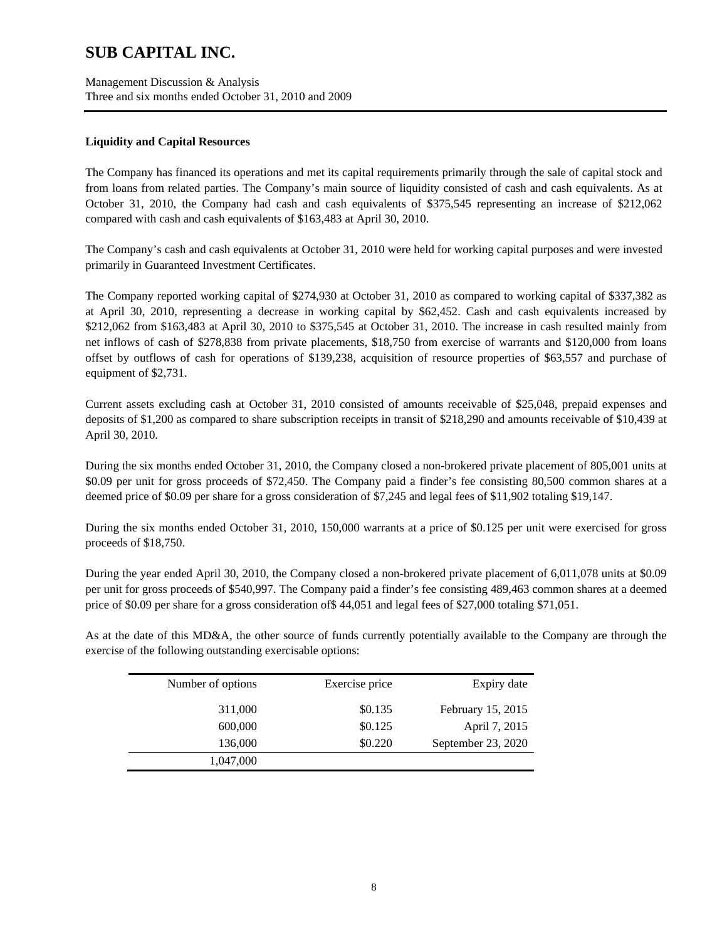Management Discussion & Analysis Three and six months ended October 31, 2010 and 2009

### **Liquidity and Capital Resources**

The Company has financed its operations and met its capital requirements primarily through the sale of capital stock and from loans from related parties. The Company's main source of liquidity consisted of cash and cash equivalents. As at October 31, 2010, the Company had cash and cash equivalents of \$375,545 representing an increase of \$212,062 compared with cash and cash equivalents of \$163,483 at April 30, 2010.

The Company's cash and cash equivalents at October 31, 2010 were held for working capital purposes and were invested primarily in Guaranteed Investment Certificates.

The Company reported working capital of \$274,930 at October 31, 2010 as compared to working capital of \$337,382 as at April 30, 2010, representing a decrease in working capital by \$62,452. Cash and cash equivalents increased by \$212,062 from \$163,483 at April 30, 2010 to \$375,545 at October 31, 2010. The increase in cash resulted mainly from net inflows of cash of \$278,838 from private placements, \$18,750 from exercise of warrants and \$120,000 from loans offset by outflows of cash for operations of \$139,238, acquisition of resource properties of \$63,557 and purchase of equipment of \$2,731.

Current assets excluding cash at October 31, 2010 consisted of amounts receivable of \$25,048, prepaid expenses and deposits of \$1,200 as compared to share subscription receipts in transit of \$218,290 and amounts receivable of \$10,439 at April 30, 2010.

During the six months ended October 31, 2010, the Company closed a non-brokered private placement of 805,001 units at \$0.09 per unit for gross proceeds of \$72,450. The Company paid a finder's fee consisting 80,500 common shares at a deemed price of \$0.09 per share for a gross consideration of \$7,245 and legal fees of \$11,902 totaling \$19,147.

During the six months ended October 31, 2010, 150,000 warrants at a price of \$0.125 per unit were exercised for gross proceeds of \$18,750.

During the year ended April 30, 2010, the Company closed a non-brokered private placement of 6,011,078 units at \$0.09 per unit for gross proceeds of \$540,997. The Company paid a finder's fee consisting 489,463 common shares at a deemed price of \$0.09 per share for a gross consideration of\$ 44,051 and legal fees of \$27,000 totaling \$71,051.

As at the date of this MD&A, the other source of funds currently potentially available to the Company are through the exercise of the following outstanding exercisable options:

| Number of options | Exercise price | Expiry date        |
|-------------------|----------------|--------------------|
| 311,000           | \$0.135        | February 15, 2015  |
| 600,000           | \$0.125        | April 7, 2015      |
| 136,000           | \$0.220        | September 23, 2020 |
| 1,047,000         |                |                    |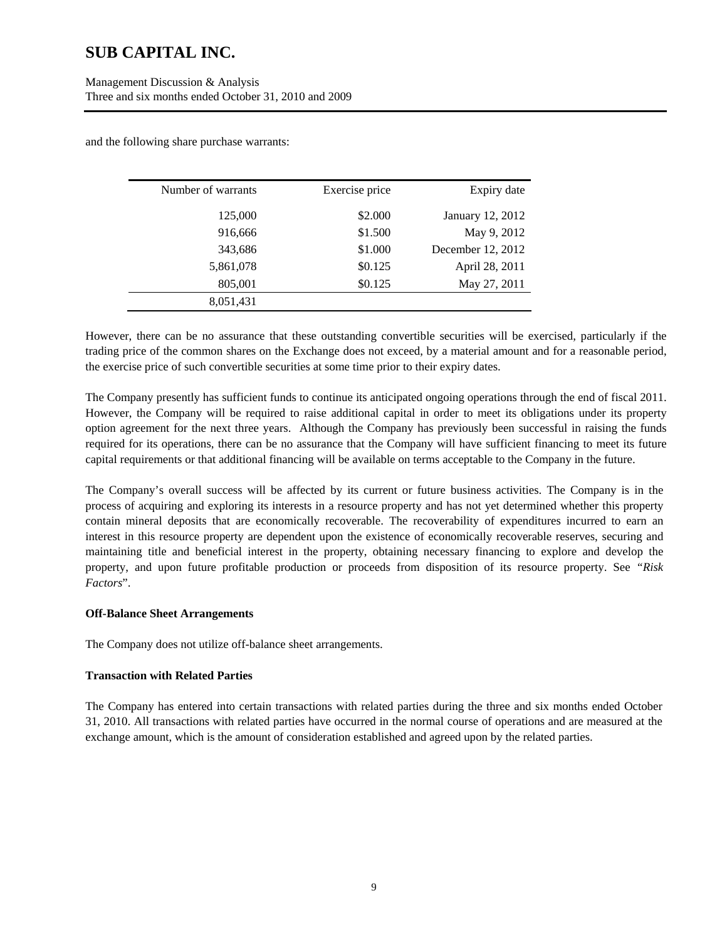and the following share purchase warrants:

| Number of warrants | Exercise price | Expiry date       |
|--------------------|----------------|-------------------|
| 125,000            | \$2,000        | January 12, 2012  |
| 916,666            | \$1.500        | May 9, 2012       |
| 343,686            | \$1.000        | December 12, 2012 |
| 5,861,078          | \$0.125        | April 28, 2011    |
| 805,001            | \$0.125        | May 27, 2011      |
| 8,051,431          |                |                   |

However, there can be no assurance that these outstanding convertible securities will be exercised, particularly if the trading price of the common shares on the Exchange does not exceed, by a material amount and for a reasonable period, the exercise price of such convertible securities at some time prior to their expiry dates.

The Company presently has sufficient funds to continue its anticipated ongoing operations through the end of fiscal 2011. However, the Company will be required to raise additional capital in order to meet its obligations under its property option agreement for the next three years. Although the Company has previously been successful in raising the funds required for its operations, there can be no assurance that the Company will have sufficient financing to meet its future capital requirements or that additional financing will be available on terms acceptable to the Company in the future.

The Company's overall success will be affected by its current or future business activities. The Company is in the process of acquiring and exploring its interests in a resource property and has not yet determined whether this property contain mineral deposits that are economically recoverable. The recoverability of expenditures incurred to earn an interest in this resource property are dependent upon the existence of economically recoverable reserves, securing and maintaining title and beneficial interest in the property, obtaining necessary financing to explore and develop the property, and upon future profitable production or proceeds from disposition of its resource property. See *"Risk Factors*".

### **Off-Balance Sheet Arrangements**

The Company does not utilize off-balance sheet arrangements.

### **Transaction with Related Parties**

The Company has entered into certain transactions with related parties during the three and six months ended October 31, 2010. All transactions with related parties have occurred in the normal course of operations and are measured at the exchange amount, which is the amount of consideration established and agreed upon by the related parties.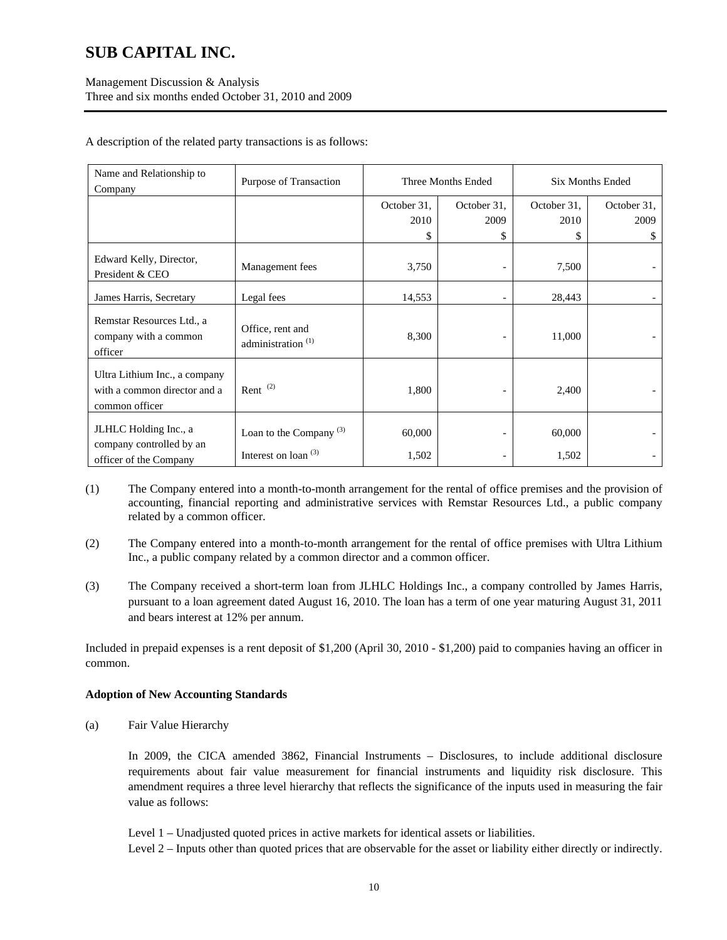| Name and Relationship to<br>Company                                             | Purpose of Transaction                              | Three Months Ended<br><b>Six Months Ended</b> |                          |                 |             |
|---------------------------------------------------------------------------------|-----------------------------------------------------|-----------------------------------------------|--------------------------|-----------------|-------------|
|                                                                                 |                                                     | October 31,                                   | October 31,              | October 31,     | October 31, |
|                                                                                 |                                                     | 2010                                          | 2009                     | 2010            | 2009        |
|                                                                                 |                                                     | \$                                            | \$                       |                 | S           |
| Edward Kelly, Director,<br>President & CEO                                      | Management fees                                     | 3,750                                         |                          | 7,500           |             |
| James Harris, Secretary                                                         | Legal fees                                          | 14,553                                        | $\overline{\phantom{a}}$ | 28,443          |             |
| Remstar Resources Ltd., a<br>company with a common<br>officer                   | Office, rent and<br>administration <sup>(1)</sup>   | 8,300                                         |                          | 11,000          |             |
| Ultra Lithium Inc., a company<br>with a common director and a<br>common officer | Rent $(2)$                                          | 1,800                                         |                          | 2,400           |             |
| JLHLC Holding Inc., a<br>company controlled by an<br>officer of the Company     | Loan to the Company $(3)$<br>Interest on loan $(3)$ | 60,000<br>1,502                               |                          | 60,000<br>1,502 |             |

A description of the related party transactions is as follows:

- (1) The Company entered into a month-to-month arrangement for the rental of office premises and the provision of accounting, financial reporting and administrative services with Remstar Resources Ltd., a public company related by a common officer.
- (2) The Company entered into a month-to-month arrangement for the rental of office premises with Ultra Lithium Inc., a public company related by a common director and a common officer.
- (3) The Company received a short-term loan from JLHLC Holdings Inc., a company controlled by James Harris, pursuant to a loan agreement dated August 16, 2010. The loan has a term of one year maturing August 31, 2011 and bears interest at 12% per annum.

Included in prepaid expenses is a rent deposit of \$1,200 (April 30, 2010 - \$1,200) paid to companies having an officer in common.

### **Adoption of New Accounting Standards**

(a) Fair Value Hierarchy

In 2009, the CICA amended 3862, Financial Instruments – Disclosures, to include additional disclosure requirements about fair value measurement for financial instruments and liquidity risk disclosure. This amendment requires a three level hierarchy that reflects the significance of the inputs used in measuring the fair value as follows:

Level 1 – Unadjusted quoted prices in active markets for identical assets or liabilities.

Level 2 – Inputs other than quoted prices that are observable for the asset or liability either directly or indirectly.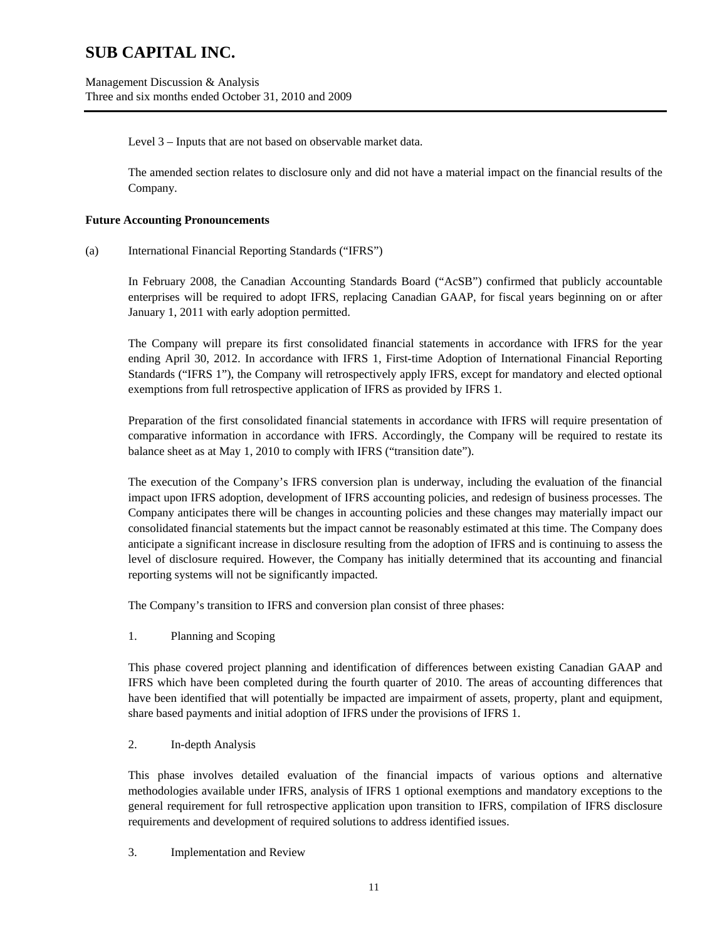Level 3 – Inputs that are not based on observable market data.

The amended section relates to disclosure only and did not have a material impact on the financial results of the Company.

### **Future Accounting Pronouncements**

(a) International Financial Reporting Standards ("IFRS")

In February 2008, the Canadian Accounting Standards Board ("AcSB") confirmed that publicly accountable enterprises will be required to adopt IFRS, replacing Canadian GAAP, for fiscal years beginning on or after January 1, 2011 with early adoption permitted.

The Company will prepare its first consolidated financial statements in accordance with IFRS for the year ending April 30, 2012. In accordance with IFRS 1, First-time Adoption of International Financial Reporting Standards ("IFRS 1"), the Company will retrospectively apply IFRS, except for mandatory and elected optional exemptions from full retrospective application of IFRS as provided by IFRS 1.

Preparation of the first consolidated financial statements in accordance with IFRS will require presentation of comparative information in accordance with IFRS. Accordingly, the Company will be required to restate its balance sheet as at May 1, 2010 to comply with IFRS ("transition date").

The execution of the Company's IFRS conversion plan is underway, including the evaluation of the financial impact upon IFRS adoption, development of IFRS accounting policies, and redesign of business processes. The Company anticipates there will be changes in accounting policies and these changes may materially impact our consolidated financial statements but the impact cannot be reasonably estimated at this time. The Company does anticipate a significant increase in disclosure resulting from the adoption of IFRS and is continuing to assess the level of disclosure required. However, the Company has initially determined that its accounting and financial reporting systems will not be significantly impacted.

The Company's transition to IFRS and conversion plan consist of three phases:

1. Planning and Scoping

This phase covered project planning and identification of differences between existing Canadian GAAP and IFRS which have been completed during the fourth quarter of 2010. The areas of accounting differences that have been identified that will potentially be impacted are impairment of assets, property, plant and equipment, share based payments and initial adoption of IFRS under the provisions of IFRS 1.

2. In-depth Analysis

This phase involves detailed evaluation of the financial impacts of various options and alternative methodologies available under IFRS, analysis of IFRS 1 optional exemptions and mandatory exceptions to the general requirement for full retrospective application upon transition to IFRS, compilation of IFRS disclosure requirements and development of required solutions to address identified issues.

3. Implementation and Review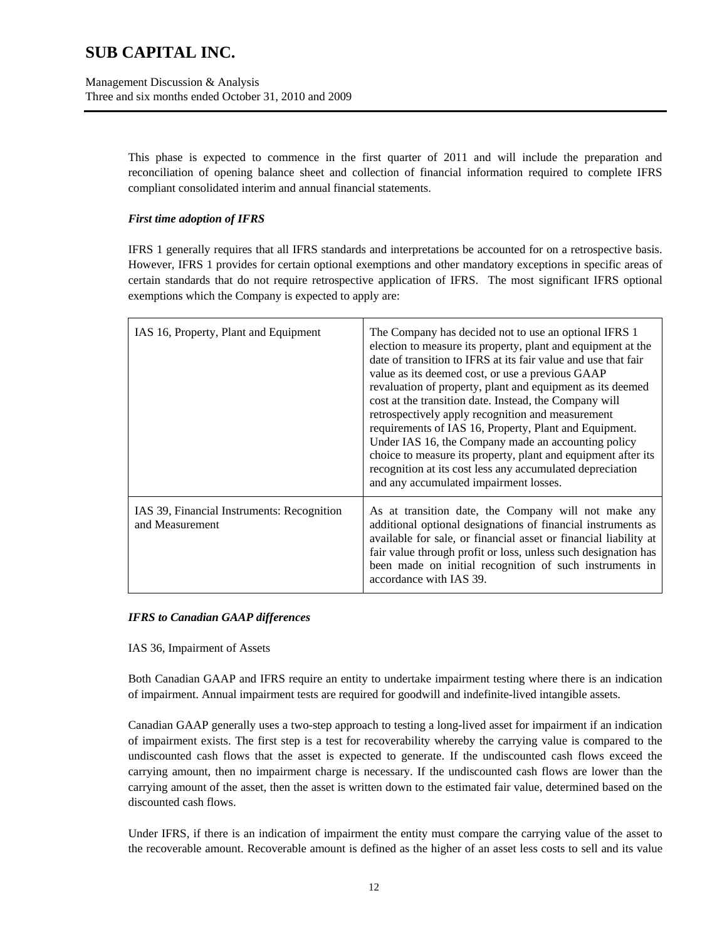This phase is expected to commence in the first quarter of 2011 and will include the preparation and reconciliation of opening balance sheet and collection of financial information required to complete IFRS compliant consolidated interim and annual financial statements.

### *First time adoption of IFRS*

IFRS 1 generally requires that all IFRS standards and interpretations be accounted for on a retrospective basis. However, IFRS 1 provides for certain optional exemptions and other mandatory exceptions in specific areas of certain standards that do not require retrospective application of IFRS. The most significant IFRS optional exemptions which the Company is expected to apply are:

| IAS 16, Property, Plant and Equipment                         | The Company has decided not to use an optional IFRS 1<br>election to measure its property, plant and equipment at the<br>date of transition to IFRS at its fair value and use that fair<br>value as its deemed cost, or use a previous GAAP<br>revaluation of property, plant and equipment as its deemed<br>cost at the transition date. Instead, the Company will<br>retrospectively apply recognition and measurement<br>requirements of IAS 16, Property, Plant and Equipment.<br>Under IAS 16, the Company made an accounting policy<br>choice to measure its property, plant and equipment after its<br>recognition at its cost less any accumulated depreciation<br>and any accumulated impairment losses. |
|---------------------------------------------------------------|-------------------------------------------------------------------------------------------------------------------------------------------------------------------------------------------------------------------------------------------------------------------------------------------------------------------------------------------------------------------------------------------------------------------------------------------------------------------------------------------------------------------------------------------------------------------------------------------------------------------------------------------------------------------------------------------------------------------|
| IAS 39, Financial Instruments: Recognition<br>and Measurement | As at transition date, the Company will not make any<br>additional optional designations of financial instruments as<br>available for sale, or financial asset or financial liability at<br>fair value through profit or loss, unless such designation has<br>been made on initial recognition of such instruments in<br>accordance with IAS 39.                                                                                                                                                                                                                                                                                                                                                                  |

### *IFRS to Canadian GAAP differences*

IAS 36, Impairment of Assets

Both Canadian GAAP and IFRS require an entity to undertake impairment testing where there is an indication of impairment. Annual impairment tests are required for goodwill and indefinite-lived intangible assets.

Canadian GAAP generally uses a two-step approach to testing a long-lived asset for impairment if an indication of impairment exists. The first step is a test for recoverability whereby the carrying value is compared to the undiscounted cash flows that the asset is expected to generate. If the undiscounted cash flows exceed the carrying amount, then no impairment charge is necessary. If the undiscounted cash flows are lower than the carrying amount of the asset, then the asset is written down to the estimated fair value, determined based on the discounted cash flows.

Under IFRS, if there is an indication of impairment the entity must compare the carrying value of the asset to the recoverable amount. Recoverable amount is defined as the higher of an asset less costs to sell and its value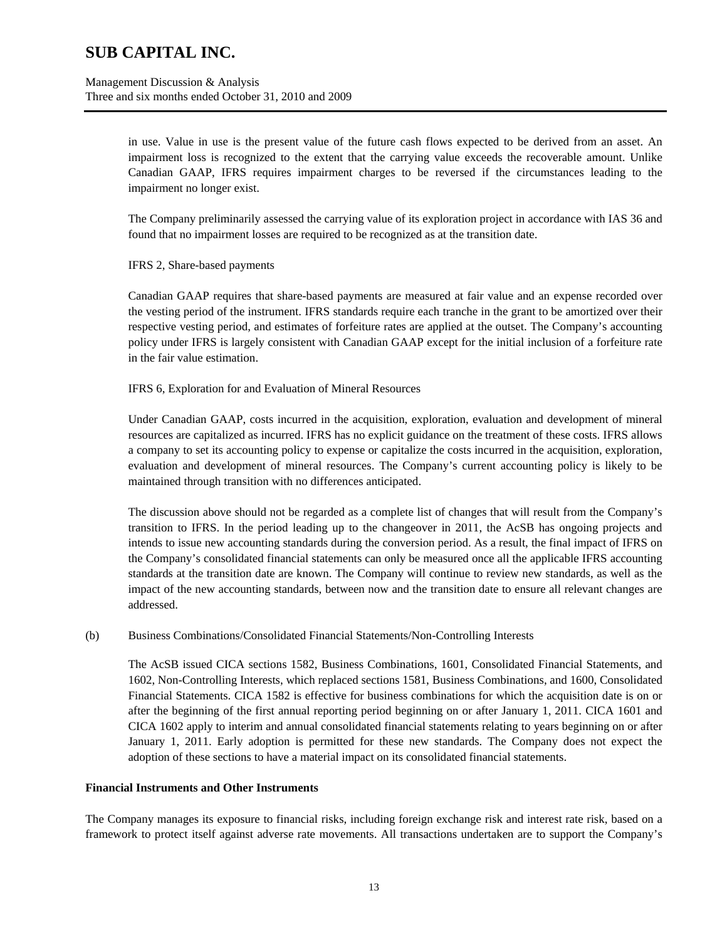in use. Value in use is the present value of the future cash flows expected to be derived from an asset. An impairment loss is recognized to the extent that the carrying value exceeds the recoverable amount. Unlike Canadian GAAP, IFRS requires impairment charges to be reversed if the circumstances leading to the impairment no longer exist.

The Company preliminarily assessed the carrying value of its exploration project in accordance with IAS 36 and found that no impairment losses are required to be recognized as at the transition date.

IFRS 2, Share-based payments

Canadian GAAP requires that share-based payments are measured at fair value and an expense recorded over the vesting period of the instrument. IFRS standards require each tranche in the grant to be amortized over their respective vesting period, and estimates of forfeiture rates are applied at the outset. The Company's accounting policy under IFRS is largely consistent with Canadian GAAP except for the initial inclusion of a forfeiture rate in the fair value estimation.

IFRS 6, Exploration for and Evaluation of Mineral Resources

Under Canadian GAAP, costs incurred in the acquisition, exploration, evaluation and development of mineral resources are capitalized as incurred. IFRS has no explicit guidance on the treatment of these costs. IFRS allows a company to set its accounting policy to expense or capitalize the costs incurred in the acquisition, exploration, evaluation and development of mineral resources. The Company's current accounting policy is likely to be maintained through transition with no differences anticipated.

The discussion above should not be regarded as a complete list of changes that will result from the Company's transition to IFRS. In the period leading up to the changeover in 2011, the AcSB has ongoing projects and intends to issue new accounting standards during the conversion period. As a result, the final impact of IFRS on the Company's consolidated financial statements can only be measured once all the applicable IFRS accounting standards at the transition date are known. The Company will continue to review new standards, as well as the impact of the new accounting standards, between now and the transition date to ensure all relevant changes are addressed.

(b) Business Combinations/Consolidated Financial Statements/Non-Controlling Interests

The AcSB issued CICA sections 1582, Business Combinations, 1601, Consolidated Financial Statements, and 1602, Non-Controlling Interests, which replaced sections 1581, Business Combinations, and 1600, Consolidated Financial Statements. CICA 1582 is effective for business combinations for which the acquisition date is on or after the beginning of the first annual reporting period beginning on or after January 1, 2011. CICA 1601 and CICA 1602 apply to interim and annual consolidated financial statements relating to years beginning on or after January 1, 2011. Early adoption is permitted for these new standards. The Company does not expect the adoption of these sections to have a material impact on its consolidated financial statements.

#### **Financial Instruments and Other Instruments**

The Company manages its exposure to financial risks, including foreign exchange risk and interest rate risk, based on a framework to protect itself against adverse rate movements. All transactions undertaken are to support the Company's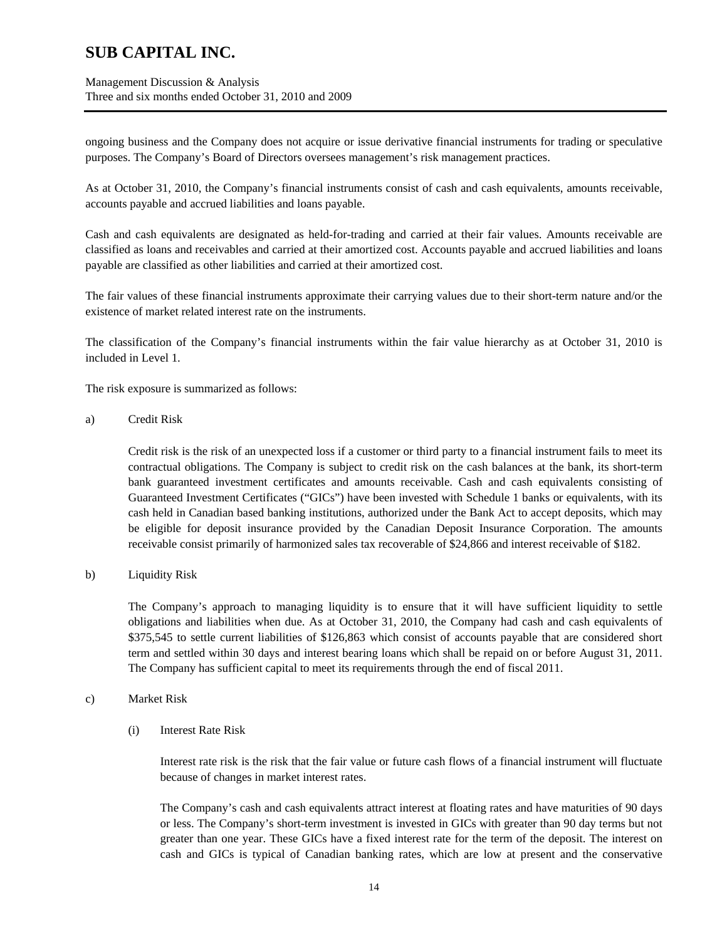Management Discussion & Analysis Three and six months ended October 31, 2010 and 2009

ongoing business and the Company does not acquire or issue derivative financial instruments for trading or speculative purposes. The Company's Board of Directors oversees management's risk management practices.

As at October 31, 2010, the Company's financial instruments consist of cash and cash equivalents, amounts receivable, accounts payable and accrued liabilities and loans payable.

Cash and cash equivalents are designated as held-for-trading and carried at their fair values. Amounts receivable are classified as loans and receivables and carried at their amortized cost. Accounts payable and accrued liabilities and loans payable are classified as other liabilities and carried at their amortized cost.

The fair values of these financial instruments approximate their carrying values due to their short-term nature and/or the existence of market related interest rate on the instruments.

The classification of the Company's financial instruments within the fair value hierarchy as at October 31, 2010 is included in Level 1.

The risk exposure is summarized as follows:

a) Credit Risk

Credit risk is the risk of an unexpected loss if a customer or third party to a financial instrument fails to meet its contractual obligations. The Company is subject to credit risk on the cash balances at the bank, its short-term bank guaranteed investment certificates and amounts receivable. Cash and cash equivalents consisting of Guaranteed Investment Certificates ("GICs") have been invested with Schedule 1 banks or equivalents, with its cash held in Canadian based banking institutions, authorized under the Bank Act to accept deposits, which may be eligible for deposit insurance provided by the Canadian Deposit Insurance Corporation. The amounts receivable consist primarily of harmonized sales tax recoverable of \$24,866 and interest receivable of \$182.

b) Liquidity Risk

The Company's approach to managing liquidity is to ensure that it will have sufficient liquidity to settle obligations and liabilities when due. As at October 31, 2010, the Company had cash and cash equivalents of \$375,545 to settle current liabilities of \$126,863 which consist of accounts payable that are considered short term and settled within 30 days and interest bearing loans which shall be repaid on or before August 31, 2011. The Company has sufficient capital to meet its requirements through the end of fiscal 2011.

- c) Market Risk
	- (i) Interest Rate Risk

Interest rate risk is the risk that the fair value or future cash flows of a financial instrument will fluctuate because of changes in market interest rates.

The Company's cash and cash equivalents attract interest at floating rates and have maturities of 90 days or less. The Company's short-term investment is invested in GICs with greater than 90 day terms but not greater than one year. These GICs have a fixed interest rate for the term of the deposit. The interest on cash and GICs is typical of Canadian banking rates, which are low at present and the conservative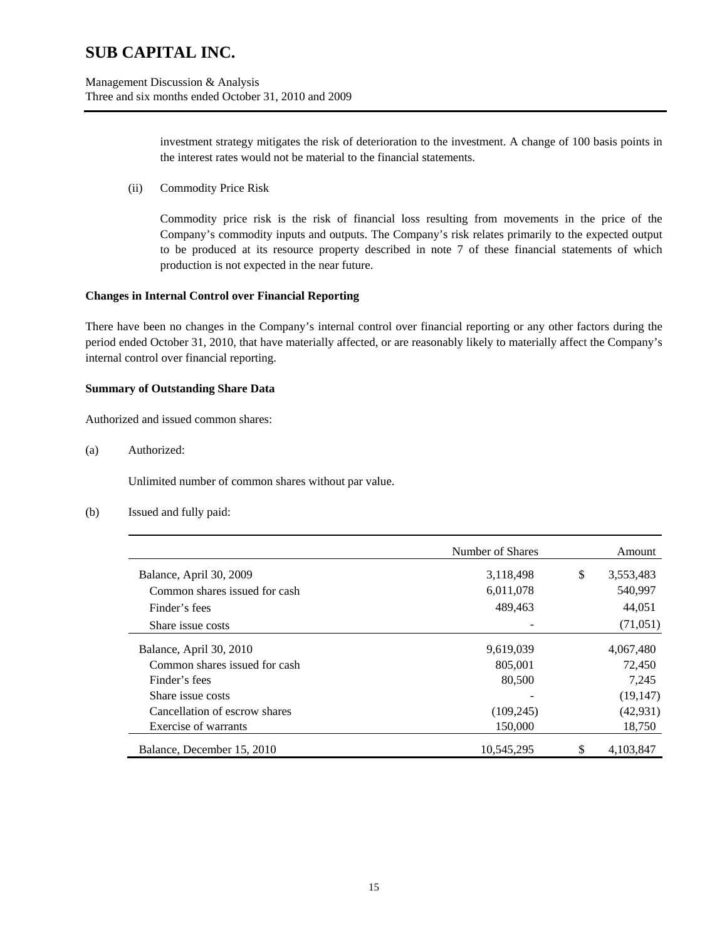investment strategy mitigates the risk of deterioration to the investment. A change of 100 basis points in the interest rates would not be material to the financial statements.

(ii) Commodity Price Risk

Commodity price risk is the risk of financial loss resulting from movements in the price of the Company's commodity inputs and outputs. The Company's risk relates primarily to the expected output to be produced at its resource property described in note 7 of these financial statements of which production is not expected in the near future.

#### **Changes in Internal Control over Financial Reporting**

There have been no changes in the Company's internal control over financial reporting or any other factors during the period ended October 31, 2010, that have materially affected, or are reasonably likely to materially affect the Company's internal control over financial reporting.

#### **Summary of Outstanding Share Data**

Authorized and issued common shares:

(a) Authorized:

Unlimited number of common shares without par value.

(b) Issued and fully paid:

|                               | Number of Shares | Amount          |
|-------------------------------|------------------|-----------------|
| Balance, April 30, 2009       | 3,118,498        | \$<br>3,553,483 |
| Common shares issued for cash | 6,011,078        | 540,997         |
| Finder's fees                 | 489,463          | 44,051          |
| Share issue costs             |                  | (71,051)        |
| Balance, April 30, 2010       | 9,619,039        | 4,067,480       |
| Common shares issued for cash | 805,001          | 72,450          |
| Finder's fees                 | 80,500           | 7,245           |
| Share issue costs             |                  | (19, 147)       |
| Cancellation of escrow shares | (109, 245)       | (42, 931)       |
| Exercise of warrants          | 150,000          | 18,750          |
| Balance, December 15, 2010    | 10,545,295       | 4,103,847       |